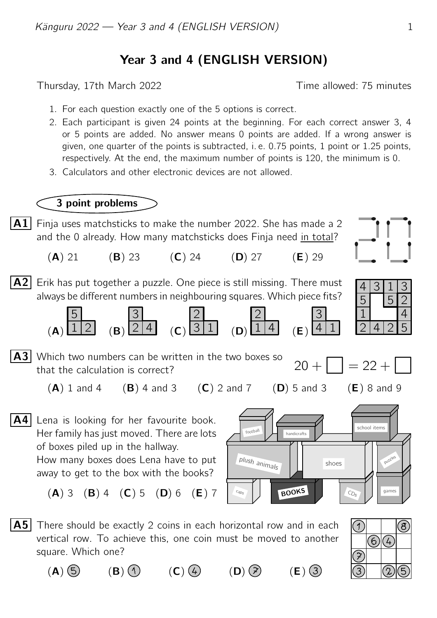## Year 3 and 4 (ENGLISH VERSION)

Thursday, 17th March 2022 Time allowed: 75 minutes

- 1. For each question exactly one of the 5 options is correct.
- 2. Each participant is given 24 points at the beginning. For each correct answer 3, 4 or 5 points are added. No answer means 0 points are added. If a wrong answer is given, one quarter of the points is subtracted, i. e. 0.75 points, 1 point or 1.25 points, respectively. At the end, the maximum number of points is 120, the minimum is 0.
- 3. Calculators and other electronic devices are not allowed.

## 3 point problems

**A1** Finja uses matchsticks to make the number 2022. She has made a 2 and the 0 already. How many matchsticks does Finja need in total?

- (A) 21 (B) 23 (C) 24 (D) 27 (E) 29
- $\overline{A2}$  Erik has put together a puzzle. One piece is still missing. There must  $\begin{array}{|c|c|c|c|c|}\n\hline\n4 & 3 & 1 & 3 \\
\hline\n\end{array}$ always be different numbers in neighbouring squares. Which piece fits?



- $\overline{A3}$  Which two numbers can be written in the two boxes so that the calculation is correct?
	- $(A)$  1 and 4 (B) 4 and 3 (C) 2 and 7 (D) 5 and 3 (E) 8 and 9

A4 Lena is looking for her favourite book.

away to get to the box with the books?

of boxes piled up in the hallway.

- 
- 

 $20 + |$  = 22 +

5 5 2

1 4  $2 | 4 | 2 | 5$ 



 $\overline{\mathsf{A5}}$  There should be exactly 2 coins in each horizontal row and in each  $\qquad \overline{\mathsf{A}}$ vertical row. To achieve this, one coin must be moved to another square. Which one?



- 
- $(C)$  (4)  $(D)$  (7)

 $(E)(3)$ 

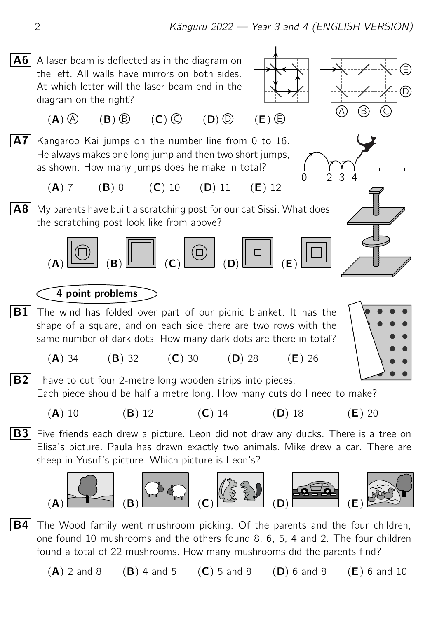

 $(A)$  2 and 8  $(B)$  4 and 5  $(C)$  5 and 8  $(D)$  6 and 8  $(E)$  6 and 10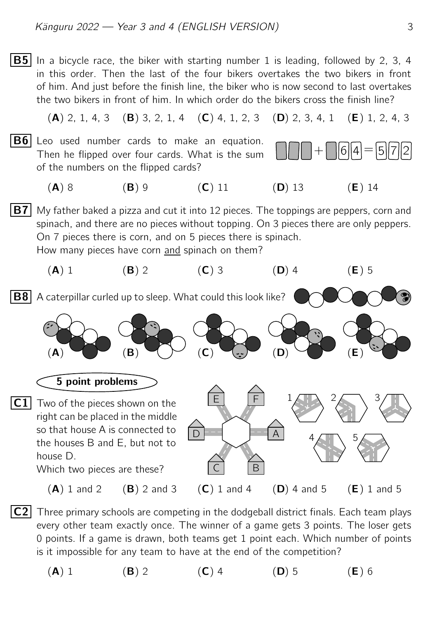**B5** In a bicycle race, the biker with starting number 1 is leading, followed by 2, 3, 4 in this order. Then the last of the four bikers overtakes the two bikers in front of him. And just before the finish line, the biker who is now second to last overtakes the two bikers in front of him. In which order do the bikers cross the finish line?

(A) 2, 1, 4, 3 (B) 3, 2, 1, 4 (C) 4, 1, 2, 3 (D) 2, 3, 4, 1 (E) 1, 2, 4, 3

- **B6** Leo used number cards to make an equation. Then he flipped over four cards. What is the sum of the numbers on the flipped cards?
	-

(A) 8 (B) 9 (C) 11 (D) 13 (E) 14

 $+$  6  $|4|$  =  $|5||7||2|$ 

 $|B7|$  My father baked a pizza and cut it into 12 pieces. The toppings are peppers, corn and spinach, and there are no pieces without topping. On 3 pieces there are only peppers. On 7 pieces there is corn, and on 5 pieces there is spinach. How many pieces have corn and spinach on them?

(A) 1 (B) 2 (C) 3 (D) 4 (E) 5

**B8** A caterpillar curled up to sleep. What could this look like?



## 5 point problems

 $\overline{{\mathsf{C}}\hspace{0.5pt}\mathbf{1}}\hspace{0.5pt}$  Two of the pieces shown on the right can be placed in the middle so that house A is connected to the houses B and E, but not to house D.

Which two pieces are these?



 $|C2|$  Three primary schools are competing in the dodgeball district finals. Each team plays every other team exactly once. The winner of a game gets 3 points. The loser gets 0 points. If a game is drawn, both teams get 1 point each. Which number of points is it impossible for any team to have at the end of the competition?

- 
- 
- 
- (A) 1 (B) 2 (C) 4 (D) 5 (E) 6